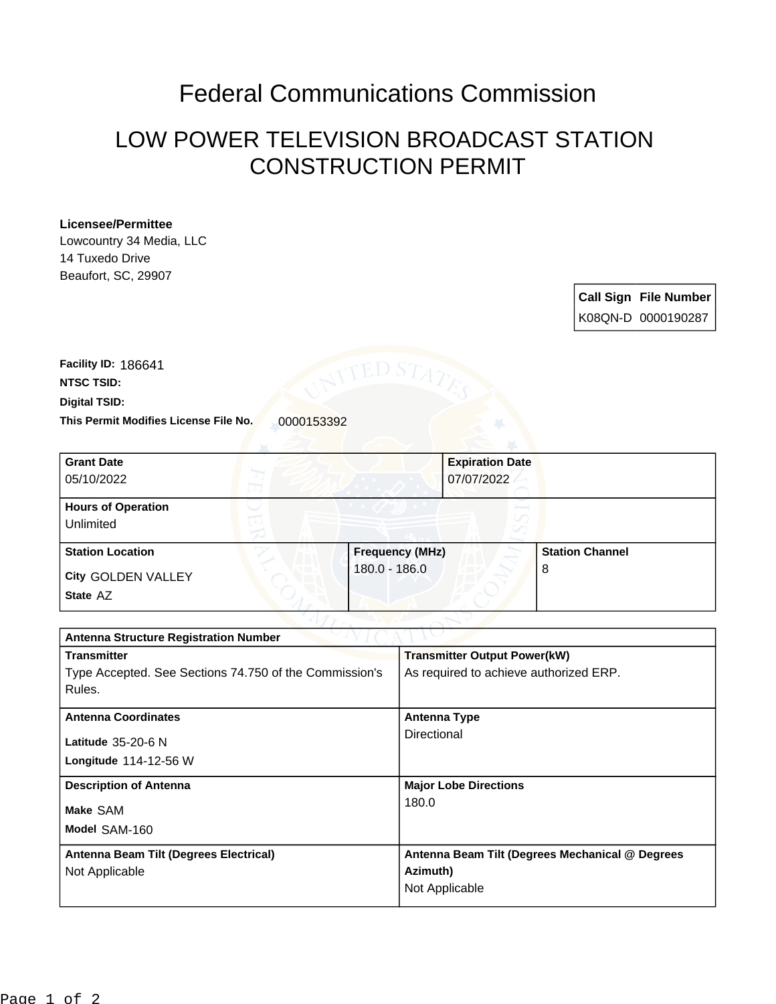## Federal Communications Commission

## LOW POWER TELEVISION BROADCAST STATION CONSTRUCTION PERMIT

## **Licensee/Permittee**

Lowcountry 34 Media, LLC 14 Tuxedo Drive Beaufort, SC, 29907

> **Call Sign File Number** K08QN-D 0000190287

This Permit Modifies License File No. 0000153392 **Digital TSID: NTSC TSID: Facility ID:** 186641

| <b>Grant Date</b><br>05/10/2022        | <b>Expiration Date</b><br>07/07/2022 |                        |
|----------------------------------------|--------------------------------------|------------------------|
| <b>Hours of Operation</b><br>Unlimited | V                                    |                        |
| <b>Station Location</b>                | <b>Frequency (MHz)</b>               | <b>Station Channel</b> |
| <b>City GOLDEN VALLEY</b><br>State AZ  | 180.0 - 186.0                        | 8                      |

| <b>Antenna Structure Registration Number</b>           |                                                 |  |  |
|--------------------------------------------------------|-------------------------------------------------|--|--|
| <b>Transmitter</b>                                     | <b>Transmitter Output Power(kW)</b>             |  |  |
| Type Accepted. See Sections 74.750 of the Commission's | As required to achieve authorized ERP.          |  |  |
| Rules.                                                 |                                                 |  |  |
| <b>Antenna Coordinates</b>                             | <b>Antenna Type</b>                             |  |  |
| Latitude 35-20-6 N                                     | Directional                                     |  |  |
| Longitude 114-12-56 W                                  |                                                 |  |  |
| <b>Description of Antenna</b>                          | <b>Major Lobe Directions</b>                    |  |  |
| Make SAM                                               | 180.0                                           |  |  |
| Model SAM-160                                          |                                                 |  |  |
| Antenna Beam Tilt (Degrees Electrical)                 | Antenna Beam Tilt (Degrees Mechanical @ Degrees |  |  |
| Not Applicable                                         | Azimuth)                                        |  |  |
|                                                        | Not Applicable                                  |  |  |